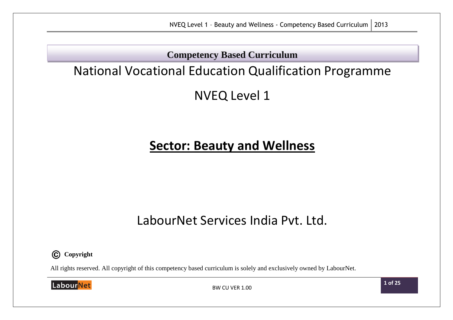**Competency Based Curriculum**

# National Vocational Education Qualification Programme

NVEQ Level 1

# **Sector: Beauty and Wellness**

# LabourNet Services India Pvt. Ltd.



All rights reserved. All copyright of this competency based curriculum is solely and exclusively owned by LabourNet.

LabourNet

BW CU VER 1.00

**1 of 25**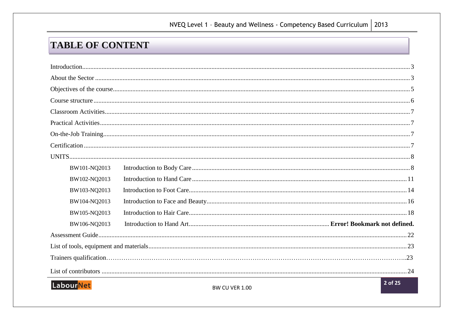## NVEQ Level 1 - Beauty and Wellness - Competency Based Curriculum | 2013

## **TABLE OF CONTENT**

| BW101-NQ2013     |         |
|------------------|---------|
| BW102-NQ2013     |         |
| BW103-NQ2013     |         |
| BW104-NQ2013     |         |
| BW105-NQ2013     |         |
| BW106-NQ2013     |         |
|                  |         |
|                  |         |
|                  |         |
|                  |         |
| <b>LabourNet</b> | 2 of 25 |

**BW CU VER 1.00**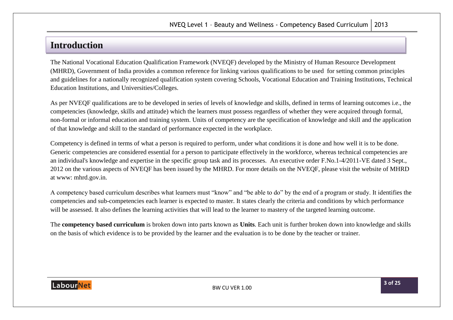## <span id="page-2-0"></span>**Introduction**

<span id="page-2-1"></span>The National Vocational Education Qualification Framework (NVEQF) developed by the Ministry of Human Resource Development (MHRD), Government of India provides a common reference for linking various qualifications to be used for setting common principles and guidelines for a nationally recognized qualification system covering Schools, Vocational Education and Training Institutions, Technical Education Institutions, and Universities/Colleges.

As per NVEQF qualifications are to be developed in series of levels of knowledge and skills, defined in terms of learning outcomes i.e., the competencies (knowledge, skills and attitude) which the learners must possess regardless of whether they were acquired through formal, non-formal or informal education and training system. Units of competency are the specification of knowledge and skill and the application of that knowledge and skill to the standard of performance expected in the workplace.

Competency is defined in terms of what a person is required to perform, under what conditions it is done and how well it is to be done. Generic competencies are considered essential for a person to participate effectively in the workforce, whereas technical competencies are an individual's knowledge and expertise in the specific group task and its processes. An executive order F.No.1-4/2011-VE dated 3 Sept., 2012 on the various aspects of NVEQF has been issued by the MHRD. For more details on the NVEQF, please visit the website of MHRD at www: mhrd.gov.in.

A competency based curriculum describes what learners must "know" and "be able to do" by the end of a program or study. It identifies the competencies and sub-competencies each learner is expected to master. It states clearly the criteria and conditions by which performance will be assessed. It also defines the learning activities that will lead to the learner to mastery of the targeted learning outcome.

The **competency based curriculum** is broken down into parts known as **Units**. Each unit is further broken down into knowledge and skills on the basis of which evidence is to be provided by the learner and the evaluation is to be done by the teacher or trainer.

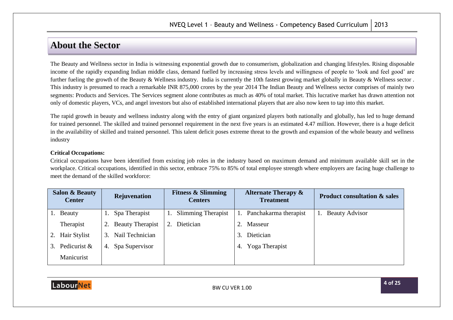## **About the Sector**

The Beauty and Wellness sector in India is witnessing exponential growth due to consumerism, globalization and changing lifestyles. Rising disposable income of the rapidly expanding Indian middle class, demand fuelled by increasing stress levels and willingness of people to 'look and feel good' are further fueling the growth of the Beauty & Wellness industry. India is currently the 10th fastest growing market globally in Beauty & Wellness sector. This industry is presumed to reach a remarkable INR 875,000 crores by the year 2014 The Indian Beauty and Wellness sector comprises of mainly two segments: Products and Services. The Services segment alone contributes as much as 40% of total market. This lucrative market has drawn attention not only of domestic players, VCs, and angel investors but also of established international players that are also now keen to tap into this market.

The rapid growth in beauty and wellness industry along with the entry of giant organized players both nationally and globally, has led to huge demand for trained personnel. The skilled and trained personnel requirement in the next five years is an estimated 4.47 million. However, there is a huge deficit in the availability of skilled and trained personnel. This talent deficit poses extreme threat to the growth and expansion of the whole beauty and wellness industry

#### **Critical Occupations:**

Critical occupations have been identified from existing job roles in the industry based on maximum demand and minimum available skill set in the workplace. Critical occupations, identified in this sector, embrace 75% to 85% of total employee strength where employers are facing huge challenge to meet the demand of the skilled workforce:

|    | <b>Salon &amp; Beauty</b><br><b>Center</b> |    | Rejuvenation            |    | <b>Fitness &amp; Slimming</b><br><b>Centers</b> |    | <b>Alternate Therapy &amp;</b><br><b>Treatment</b> | <b>Product consultation &amp; sales</b> |
|----|--------------------------------------------|----|-------------------------|----|-------------------------------------------------|----|----------------------------------------------------|-----------------------------------------|
|    | Beauty                                     |    | Spa Therapist           |    | <b>Slimming Therapist</b>                       |    | Panchakarma therapist                              | <b>Beauty Advisor</b>                   |
|    | Therapist                                  | 2. | <b>Beauty Therapist</b> | 2. | Dietician                                       |    | Masseur                                            |                                         |
| 2. | Hair Stylist                               | 3. | Nail Technician         |    |                                                 | 3. | Dietician                                          |                                         |
| 3. | Pedicurist &                               | 4. | Spa Supervisor          |    |                                                 | 4. | Yoga Therapist                                     |                                         |
|    | Manicurist                                 |    |                         |    |                                                 |    |                                                    |                                         |

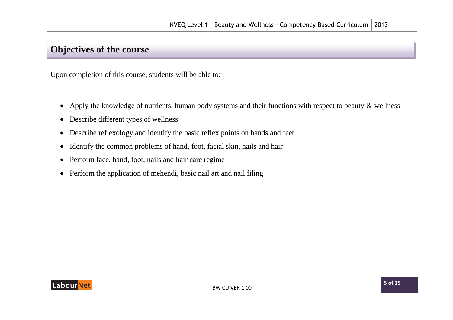## <span id="page-4-0"></span>**Objectives of the course**

Upon completion of this course, students will be able to:

- Apply the knowledge of nutrients, human body systems and their functions with respect to beauty & wellness
- Describe different types of wellness
- Describe reflexology and identify the basic reflex points on hands and feet
- Identify the common problems of hand, foot, facial skin, nails and hair
- Perform face, hand, foot, nails and hair care regime
- Perform the application of mehendi, basic nail art and nail filing

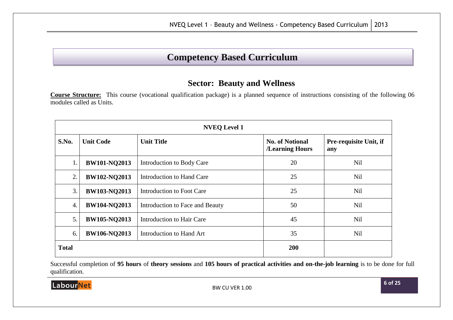## **Competency Based Curriculum**

### **Sector: Beauty and Wellness**

<span id="page-5-0"></span>**Course Structure:** This course (vocational qualification package) is a planned sequence of instructions consisting of the following 06 modules called as Units.

| <b>NVEQ Level 1</b> |                     |                                 |                                           |                               |  |  |
|---------------------|---------------------|---------------------------------|-------------------------------------------|-------------------------------|--|--|
| S.No.               | <b>Unit Code</b>    | <b>Unit Title</b>               | <b>No. of Notional</b><br>/Learning Hours | Pre-requisite Unit, if<br>any |  |  |
| 1.                  | <b>BW101-NQ2013</b> | Introduction to Body Care       | 20                                        | Nil                           |  |  |
| 2.                  | <b>BW102-NQ2013</b> | Introduction to Hand Care       | 25                                        | <b>Nil</b>                    |  |  |
| 3.                  | <b>BW103-NQ2013</b> | Introduction to Foot Care       | 25                                        | Nil                           |  |  |
| $\overline{4}$ .    | <b>BW104-NQ2013</b> | Introduction to Face and Beauty | 50                                        | <b>Nil</b>                    |  |  |
| 5.                  | <b>BW105-NQ2013</b> | Introduction to Hair Care       | 45                                        | Nil                           |  |  |
| 6.                  | <b>BW106-NQ2013</b> | Introduction to Hand Art        | 35                                        | Nil                           |  |  |
| <b>Total</b>        |                     |                                 | 200                                       |                               |  |  |

Successful completion of **95 hours** of **theory sessions** and **105 hours of practical activities and on-the-job learning** is to be done for full qualification.

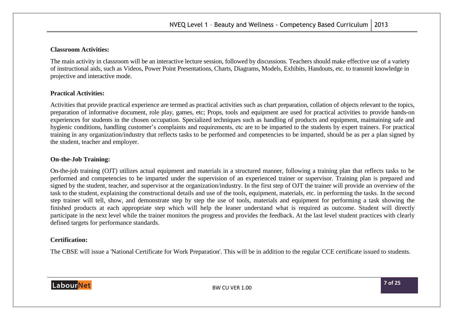#### <span id="page-6-0"></span>**Classroom Activities:**

The main activity in classroom will be an interactive lecture session, followed by discussions. Teachers should make effective use of a variety of instructional aids, such as Videos, Power Point Presentations, Charts, Diagrams, Models, Exhibits, Handouts, etc. to transmit knowledge in projective and interactive mode.

#### <span id="page-6-1"></span>**Practical Activities:**

Activities that provide practical experience are termed as practical activities such as chart preparation, collation of objects relevant to the topics, preparation of informative document, role play, games, etc; Props, tools and equipment are used for practical activities to provide hands-on experiences for students in the chosen occupation. Specialized techniques such as handling of products and equipment, maintaining safe and hygienic conditions, handling customer's complaints and requirements, etc are to be imparted to the students by expert trainers. For practical training in any organization/industry that reflects tasks to be performed and competencies to be imparted, should be as per a plan signed by the student, teacher and employer.

#### <span id="page-6-2"></span>**On-the-Job Training:**

On-the-job training (OJT) utilizes actual equipment and materials in a structured manner, following a training plan that reflects tasks to be performed and competencies to be imparted under the supervision of an experienced trainer or supervisor. Training plan is prepared and signed by the student, teacher, and supervisor at the organization/industry. In the first step of OJT the trainer will provide an overview of the task to the student, explaining the constructional details and use of the tools, equipment, materials, etc. in performing the tasks. In the second step trainer will tell, show, and demonstrate step by step the use of tools, materials and equipment for performing a task showing the finished products at each appropriate step which will help the leaner understand what is required as outcome. Student will directly participate in the next level while the trainer monitors the progress and provides the feedback. At the last level student practices with clearly defined targets for performance standards.

#### <span id="page-6-3"></span>**Certification:**

The CBSE will issue a 'National Certificate for Work Preparation'. This will be in addition to the regular CCE certificate issued to students.

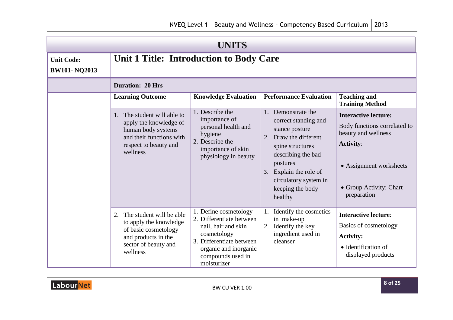<span id="page-7-1"></span><span id="page-7-0"></span>

| <b>UNITS</b>                             |                                                                                                                                              |                                                                                                                                                                                  |                                                                                                                                                                                                                               |                                                                                                                                                                             |  |  |
|------------------------------------------|----------------------------------------------------------------------------------------------------------------------------------------------|----------------------------------------------------------------------------------------------------------------------------------------------------------------------------------|-------------------------------------------------------------------------------------------------------------------------------------------------------------------------------------------------------------------------------|-----------------------------------------------------------------------------------------------------------------------------------------------------------------------------|--|--|
| <b>Unit Code:</b><br><b>BW101-NQ2013</b> | Unit 1 Title: Introduction to Body Care                                                                                                      |                                                                                                                                                                                  |                                                                                                                                                                                                                               |                                                                                                                                                                             |  |  |
|                                          | <b>Duration: 20 Hrs</b>                                                                                                                      |                                                                                                                                                                                  |                                                                                                                                                                                                                               |                                                                                                                                                                             |  |  |
|                                          | <b>Learning Outcome</b>                                                                                                                      | <b>Knowledge Evaluation</b>                                                                                                                                                      | <b>Performance Evaluation</b>                                                                                                                                                                                                 | <b>Teaching and</b><br><b>Training Method</b>                                                                                                                               |  |  |
|                                          | 1. The student will able to<br>apply the knowledge of<br>human body systems<br>and their functions with<br>respect to beauty and<br>wellness | 1. Describe the<br>importance of<br>personal health and<br>hygiene<br>2. Describe the<br>importance of skin<br>physiology in beauty                                              | 1. Demonstrate the<br>correct standing and<br>stance posture<br>2. Draw the different<br>spine structures<br>describing the bad<br>postures<br>3. Explain the role of<br>circulatory system in<br>keeping the body<br>healthy | <b>Interactive lecture:</b><br>Body functions correlated to<br>beauty and wellness<br><b>Activity:</b><br>• Assignment worksheets<br>• Group Activity: Chart<br>preparation |  |  |
|                                          | The student will be able<br>2.<br>to apply the knowledge<br>of basic cosmetology<br>and products in the<br>sector of beauty and<br>wellness  | 1. Define cosmetology<br>2. Differentiate between<br>nail, hair and skin<br>cosmetology<br>3. Differentiate between<br>organic and inorganic<br>compounds used in<br>moisturizer | Identify the cosmetics<br>in make-up<br>Identify the key<br>2.<br>ingredient used in<br>cleanser                                                                                                                              | <b>Interactive lecture:</b><br>Basics of cosmetology<br><b>Activity:</b><br>• Identification of<br>displayed products                                                       |  |  |

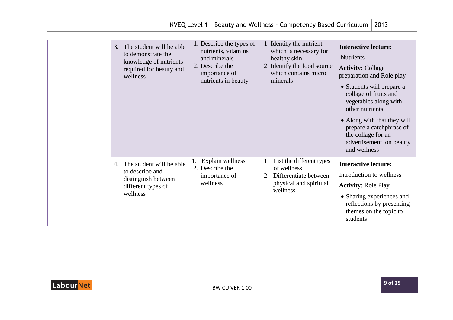| NVEQ Level 1 - Beauty and Wellness - Competency Based Curriculum   2013                                            |                                                                                                                            |                                                                                                                                        |                                                                                                                                                                                                                                                                                                                                         |  |
|--------------------------------------------------------------------------------------------------------------------|----------------------------------------------------------------------------------------------------------------------------|----------------------------------------------------------------------------------------------------------------------------------------|-----------------------------------------------------------------------------------------------------------------------------------------------------------------------------------------------------------------------------------------------------------------------------------------------------------------------------------------|--|
| 3. The student will be able<br>to demonstrate the<br>knowledge of nutrients<br>required for beauty and<br>wellness | 1. Describe the types of<br>nutrients, vitamins<br>and minerals<br>2. Describe the<br>importance of<br>nutrients in beauty | 1. Identify the nutrient<br>which is necessary for<br>healthy skin.<br>2. Identify the food source<br>which contains micro<br>minerals | <b>Interactive lecture:</b><br><b>Nutrients</b><br><b>Activity: Collage</b><br>preparation and Role play<br>• Students will prepare a<br>collage of fruits and<br>vegetables along with<br>other nutrients.<br>• Along with that they will<br>prepare a catchphrase of<br>the collage for an<br>advertisement on beauty<br>and wellness |  |
| 4. The student will be able<br>to describe and<br>distinguish between<br>different types of<br>wellness            | Explain wellness<br>2. Describe the<br>importance of<br>wellness                                                           | List the different types<br>of wellness<br>Differentiate between<br>2.<br>physical and spiritual<br>wellness                           | <b>Interactive lecture:</b><br>Introduction to wellness<br><b>Activity: Role Play</b><br>• Sharing experiences and<br>reflections by presenting<br>themes on the topic to<br>students                                                                                                                                                   |  |

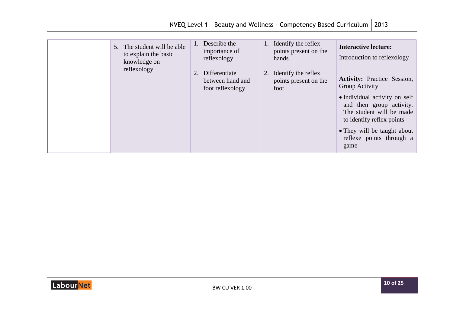|                                                                                    |                                                                                                                | NVEQ Level 1 - Beauty and Wellness - Competency Based Curriculum                                                          | 2013                                                                                                                                                                                                                                                                                                        |
|------------------------------------------------------------------------------------|----------------------------------------------------------------------------------------------------------------|---------------------------------------------------------------------------------------------------------------------------|-------------------------------------------------------------------------------------------------------------------------------------------------------------------------------------------------------------------------------------------------------------------------------------------------------------|
| 5. The student will be able<br>to explain the basic<br>knowledge on<br>reflexology | 1. Describe the<br>importance of<br>reflexology<br>Differentiate<br>2.<br>between hand and<br>foot reflexology | Identify the reflex<br>1.<br>points present on the<br>hands<br>Identify the reflex<br>2.<br>points present on the<br>foot | <b>Interactive lecture:</b><br>Introduction to reflexology<br><b>Activity:</b> Practice Session,<br>Group Activity<br>• Individual activity on self<br>and then group activity.<br>The student will be made<br>to identify reflex points<br>• They will be taught about<br>reflexe points through a<br>game |

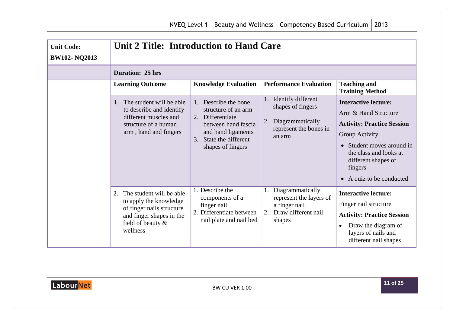<span id="page-10-0"></span>

| <b>Unit Code:</b><br><b>BW102-NQ2013</b> | Unit 2 Title: Introduction to Hand Care                                                                                                            |                                                                                                                                                                        |                                                                                                           |                                                                                                                                                                                                                               |
|------------------------------------------|----------------------------------------------------------------------------------------------------------------------------------------------------|------------------------------------------------------------------------------------------------------------------------------------------------------------------------|-----------------------------------------------------------------------------------------------------------|-------------------------------------------------------------------------------------------------------------------------------------------------------------------------------------------------------------------------------|
|                                          | <b>Duration: 25 hrs</b>                                                                                                                            |                                                                                                                                                                        |                                                                                                           |                                                                                                                                                                                                                               |
|                                          | <b>Learning Outcome</b>                                                                                                                            | <b>Knowledge Evaluation</b>                                                                                                                                            | <b>Performance Evaluation</b>                                                                             | <b>Teaching and</b><br><b>Training Method</b>                                                                                                                                                                                 |
|                                          | The student will be able<br>1.<br>to describe and identify<br>different muscles and<br>structure of a human<br>arm, hand and fingers               | Describe the bone<br>structure of an arm<br>2. Differentiate<br>between hand fascia<br>and hand ligaments<br>State the different<br>$\mathcal{E}$<br>shapes of fingers | Identify different<br>shapes of fingers<br>2.<br>Diagrammatically<br>represent the bones in<br>an arm     | <b>Interactive lecture:</b><br>Arm & Hand Structure<br><b>Activity: Practice Session</b><br>Group Activity<br>Student moves around in<br>the class and looks at<br>different shapes of<br>fingers<br>• A quiz to be conducted |
|                                          | The student will be able<br>2.<br>to apply the knowledge<br>of finger nails structure<br>and finger shapes in the<br>field of beauty &<br>wellness | 1. Describe the<br>components of a<br>finger nail<br>2. Differentiate between<br>nail plate and nail bed                                                               | Diagrammatically<br>1.<br>represent the layers of<br>a finger nail<br>2.<br>Draw different nail<br>shapes | <b>Interactive lecture:</b><br>Finger nail structure<br><b>Activity: Practice Session</b><br>Draw the diagram of<br>$\bullet$<br>layers of nails and<br>different nail shapes                                                 |

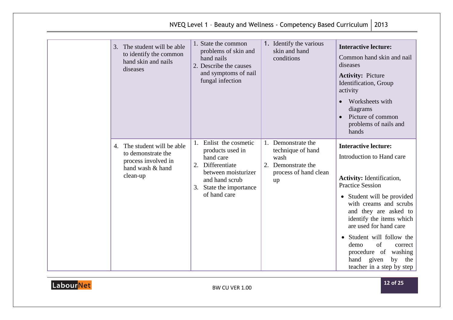|                                                                                                          |                                                                                                                                                                 | NVEQ Level 1 - Beauty and Wellness - Competency Based Curriculum                                                 | 2013                                                                                                                                                                                                                                                                                                                                                                                                    |
|----------------------------------------------------------------------------------------------------------|-----------------------------------------------------------------------------------------------------------------------------------------------------------------|------------------------------------------------------------------------------------------------------------------|---------------------------------------------------------------------------------------------------------------------------------------------------------------------------------------------------------------------------------------------------------------------------------------------------------------------------------------------------------------------------------------------------------|
| 3. The student will be able<br>to identify the common<br>hand skin and nails<br>diseases                 | 1. State the common<br>problems of skin and<br>hand nails<br>2. Describe the causes<br>and symptoms of nail<br>fungal infection                                 | 1. Identify the various<br>skin and hand<br>conditions                                                           | <b>Interactive lecture:</b><br>Common hand skin and nail<br>diseases<br><b>Activity: Picture</b><br>Identification, Group<br>activity<br>Worksheets with<br>$\bullet$<br>diagrams<br>Picture of common<br>$\bullet$<br>problems of nails and<br>hands                                                                                                                                                   |
| 4. The student will be able<br>to demonstrate the<br>process involved in<br>hand wash & hand<br>clean-up | 1. Enlist the cosmetic<br>products used in<br>hand care<br>2. Differentiate<br>between moisturizer<br>and hand scrub<br>3. State the importance<br>of hand care | Demonstrate the<br>$1_{\cdot}$<br>technique of hand<br>wash<br>2. Demonstrate the<br>process of hand clean<br>up | <b>Interactive lecture:</b><br>Introduction to Hand care<br><b>Activity:</b> Identification,<br><b>Practice Session</b><br>• Student will be provided<br>with creams and scrubs<br>and they are asked to<br>identify the items which<br>are used for hand care<br>• Student will follow the<br>of<br>demo<br>correct<br>procedure of washing<br>hand<br>given<br>by<br>the<br>teacher in a step by step |

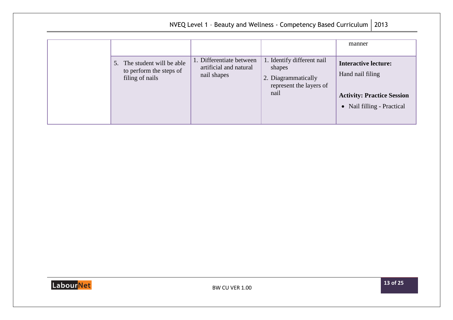| NVEQ Level 1 - Beauty and Wellness - Competency Based Curriculum<br>2013 |                                                                           |                                                                   |                                                                                                |                                                              |                                                               |  |
|--------------------------------------------------------------------------|---------------------------------------------------------------------------|-------------------------------------------------------------------|------------------------------------------------------------------------------------------------|--------------------------------------------------------------|---------------------------------------------------------------|--|
|                                                                          |                                                                           |                                                                   |                                                                                                | manner                                                       |                                                               |  |
|                                                                          | 5. The student will be able<br>to perform the steps of<br>filing of nails | 1. Differentiate between<br>artificial and natural<br>nail shapes | 1. Identify different nail<br>shapes<br>2. Diagrammatically<br>represent the layers of<br>nail | <b>Interactive lecture:</b><br>Hand nail filing<br>$\bullet$ | <b>Activity: Practice Session</b><br>Nail filling - Practical |  |

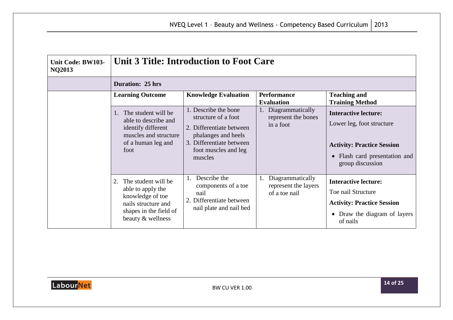<span id="page-13-0"></span>

| <b>Unit Code: BW103-</b><br><b>NQ2013</b> | <b>Unit 3 Title: Introduction to Foot Care</b>                                                                                             |                                                                                                                                                               |                                                                 |                                                                                                                                                    |
|-------------------------------------------|--------------------------------------------------------------------------------------------------------------------------------------------|---------------------------------------------------------------------------------------------------------------------------------------------------------------|-----------------------------------------------------------------|----------------------------------------------------------------------------------------------------------------------------------------------------|
|                                           | <b>Duration: 25 hrs</b>                                                                                                                    |                                                                                                                                                               |                                                                 |                                                                                                                                                    |
|                                           | <b>Learning Outcome</b>                                                                                                                    | <b>Knowledge Evaluation</b>                                                                                                                                   | <b>Performance</b><br><b>Evaluation</b>                         | <b>Teaching and</b><br><b>Training Method</b>                                                                                                      |
|                                           | The student will be<br>$\mathbf{1}$ .<br>able to describe and<br>identify different<br>muscles and structure<br>of a human leg and<br>foot | 1. Describe the bone<br>structure of a foot<br>2. Differentiate between<br>phalanges and heels<br>3. Differentiate between<br>foot muscles and leg<br>muscles | Diagrammatically<br>represent the bones<br>in a foot            | <b>Interactive lecture:</b><br>Lower leg, foot structure<br><b>Activity: Practice Session</b><br>• Flash card presentation and<br>group discussion |
|                                           | The student will be<br>2.<br>able to apply the<br>knowledge of toe<br>nails structure and<br>shapes in the field of<br>beauty & wellness   | Describe the<br>1.<br>components of a toe<br>nail<br>2. Differentiate between<br>nail plate and nail bed                                                      | Diagrammatically<br>1.<br>represent the layers<br>of a toe nail | <b>Interactive lecture:</b><br>Toe nail Structure<br><b>Activity: Practice Session</b><br>• Draw the diagram of layers<br>of nails                 |

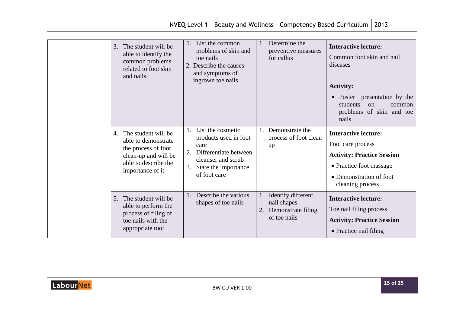| 2013<br>NVEQ Level 1 - Beauty and Wellness - Competency Based Curriculum                                                                    |                                                                                                                                                    |                                                                               |                                                                                                                                                                                                      |  |
|---------------------------------------------------------------------------------------------------------------------------------------------|----------------------------------------------------------------------------------------------------------------------------------------------------|-------------------------------------------------------------------------------|------------------------------------------------------------------------------------------------------------------------------------------------------------------------------------------------------|--|
| The student will be<br>3.<br>able to identify the<br>common problems<br>related to foot skin<br>and nails.                                  | 1. List the common<br>problems of skin and<br>toe nails<br>2. Describe the causes<br>and symptoms of<br>ingrown toe nails                          | Determine the<br>1.<br>preventive measures<br>for callus                      | <b>Interactive lecture:</b><br>Common foot skin and nail<br>diseases<br><b>Activity:</b><br>• Poster presentation by the<br>students<br><sub>on</sub><br>common<br>problems of skin and toe<br>nails |  |
| The student will be<br>4.<br>able to demonstrate<br>the process of foot<br>clean-up and will be<br>able to describe the<br>importance of it | 1. List the cosmetic<br>products used in foot<br>care<br>Differentiate between<br>cleanser and scrub<br>State the importance<br>3.<br>of foot care | 1. Demonstrate the<br>process of foot clean<br>up                             | <b>Interactive lecture:</b><br>Foot care process<br><b>Activity: Practice Session</b><br>• Practice foot massage<br>• Demonstration of foot<br>cleaning process                                      |  |
| 5. The student will be<br>able to perform the<br>process of filing of<br>toe nails with the<br>appropriate tool                             | 1. Describe the various<br>shapes of toe nails                                                                                                     | 1. Identify different<br>nail shapes<br>2. Demonstrate filing<br>of toe nails | <b>Interactive lecture:</b><br>Toe nail filing process<br><b>Activity: Practice Session</b><br>• Practice nail filing                                                                                |  |

Extending to the BW CU VER 1.00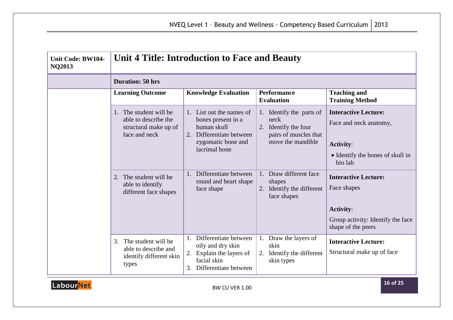<span id="page-15-0"></span>

| Unit Code: BW104-<br><b>NQ2013</b> | Unit 4 Title: Introduction to Face and Beauty                                                                                             |                                                                                                                                                                                    |                                                                                                                                               |                                                                                                                                                         |
|------------------------------------|-------------------------------------------------------------------------------------------------------------------------------------------|------------------------------------------------------------------------------------------------------------------------------------------------------------------------------------|-----------------------------------------------------------------------------------------------------------------------------------------------|---------------------------------------------------------------------------------------------------------------------------------------------------------|
|                                    | <b>Duration: 50 hrs</b>                                                                                                                   |                                                                                                                                                                                    |                                                                                                                                               |                                                                                                                                                         |
|                                    | <b>Learning Outcome</b>                                                                                                                   | <b>Knowledge Evaluation</b>                                                                                                                                                        | <b>Performance</b><br><b>Evaluation</b>                                                                                                       | <b>Teaching and</b><br><b>Training Method</b>                                                                                                           |
|                                    | 1. The student will be<br>able to describe the<br>structural make up of<br>face and neck<br>The student will be<br>2.<br>able to identify | 1. List out the names of<br>bones present in a<br>human skull<br>2. Differentiate between<br>zygomatic bone and<br>lacrimal bone<br>Differentiate between<br>round and heart shape | 1. Identify the parts of<br>neck<br>2. Identify the four<br>pairs of muscles that<br>move the mandible<br>Draw different face<br>1.<br>shapes | <b>Interactive Lecture:</b><br>Face and neck anatomy,<br><b>Activity:</b><br>• Identify the bones of skull in<br>bio lab<br><b>Interactive Lecture:</b> |
|                                    | different face shapes                                                                                                                     | face shape                                                                                                                                                                         | 2. Identify the different<br>face shapes                                                                                                      | Face shapes<br><b>Activity:</b><br>Group activity: Identify the face<br>shape of the peers                                                              |
|                                    | 3. The student will be<br>able to describe and<br>identify different skin<br>types                                                        | 1. Differentiate between<br>oily and dry skin<br>2. Explain the layers of<br>facial skin<br>Differentiate between<br>3.                                                            | Draw the layers of<br>1.<br>skin<br>Identify the different<br>skin types                                                                      | <b>Interactive Lecture:</b><br>Structural make up of face                                                                                               |

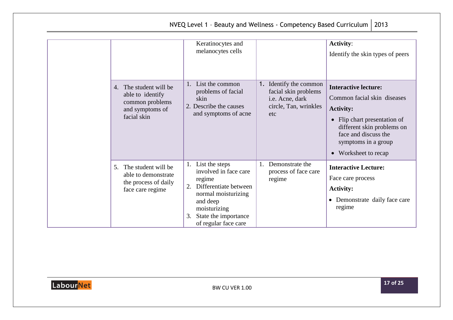|                                                                                                          | Keratinocytes and<br>melanocytes cells                                                                                                                                              |                                                                                                   | <b>Activity:</b><br>Identify the skin types of peers                                                                                                                                                                |
|----------------------------------------------------------------------------------------------------------|-------------------------------------------------------------------------------------------------------------------------------------------------------------------------------------|---------------------------------------------------------------------------------------------------|---------------------------------------------------------------------------------------------------------------------------------------------------------------------------------------------------------------------|
| 4. The student will be<br>able to identify<br>common problems<br>and symptoms of<br>facial skin          | List the common<br>problems of facial<br>skin<br>2. Describe the causes<br>and symptoms of acne                                                                                     | 1. Identify the common<br>facial skin problems<br>i.e. Acne, dark<br>circle, Tan, wrinkles<br>etc | <b>Interactive lecture:</b><br>Common facial skin diseases<br><b>Activity:</b><br>• Flip chart presentation of<br>different skin problems on<br>face and discuss the<br>symptoms in a group<br>• Worksheet to recap |
| The student will be<br>5 <sub>1</sub><br>able to demonstrate<br>the process of daily<br>face care regime | List the steps<br>involved in face care<br>regime<br>Differentiate between<br>normal moisturizing<br>and deep<br>moisturizing<br>State the importance<br>3.<br>of regular face care | Demonstrate the<br>process of face care<br>regime                                                 | <b>Interactive Lecture:</b><br>Face care process<br><b>Activity:</b><br>Demonstrate daily face care<br>$\bullet$<br>regime                                                                                          |

NVEQ Level 1 - Beauty and Wellness - Competency Based Curriculum  $\int$  2013

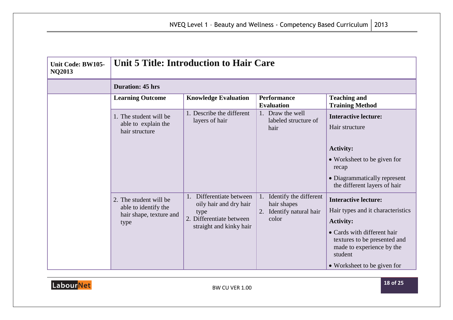<span id="page-17-0"></span>

| Unit Code: BW105-<br><b>NQ2013</b> | <b>Unit 5 Title: Introduction to Hair Care</b>                                    |                                                                                                                   |                                                                         |                                                                                                                                                                                                                            |  |  |  |
|------------------------------------|-----------------------------------------------------------------------------------|-------------------------------------------------------------------------------------------------------------------|-------------------------------------------------------------------------|----------------------------------------------------------------------------------------------------------------------------------------------------------------------------------------------------------------------------|--|--|--|
|                                    | <b>Duration: 45 hrs</b>                                                           |                                                                                                                   |                                                                         |                                                                                                                                                                                                                            |  |  |  |
|                                    | <b>Learning Outcome</b>                                                           | <b>Knowledge Evaluation</b>                                                                                       | <b>Performance</b><br><b>Evaluation</b>                                 | <b>Teaching and</b><br><b>Training Method</b>                                                                                                                                                                              |  |  |  |
|                                    | 1. The student will be<br>able to explain the<br>hair structure                   | 1. Describe the different<br>layers of hair                                                                       | 1. Draw the well<br>labeled structure of<br>hair                        | <b>Interactive lecture:</b><br>Hair structure<br><b>Activity:</b><br>• Worksheet to be given for<br>recap<br>• Diagrammatically represent<br>the different layers of hair                                                  |  |  |  |
|                                    | 2. The student will be<br>able to identify the<br>hair shape, texture and<br>type | 1. Differentiate between<br>oily hair and dry hair<br>type<br>2. Differentiate between<br>straight and kinky hair | Identify the different<br>hair shapes<br>Identify natural hair<br>color | <b>Interactive lecture:</b><br>Hair types and it characteristics<br><b>Activity:</b><br>• Cards with different hair<br>textures to be presented and<br>made to experience by the<br>student<br>• Worksheet to be given for |  |  |  |

Extending to the BW CU VER 1.00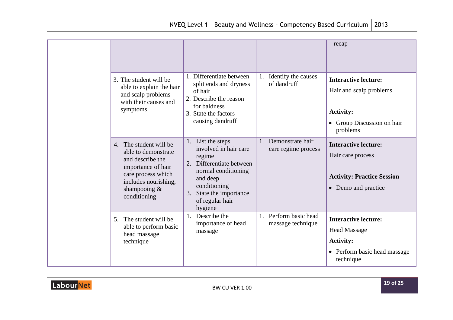| NVEQ Level 1 - Beauty and Wellness - Competency Based Curriculum   2013 |  |
|-------------------------------------------------------------------------|--|

|  |                                                                                                                                                                          |                                                                                                                                                                                                 |                                               | recap                                                                                                                |
|--|--------------------------------------------------------------------------------------------------------------------------------------------------------------------------|-------------------------------------------------------------------------------------------------------------------------------------------------------------------------------------------------|-----------------------------------------------|----------------------------------------------------------------------------------------------------------------------|
|  | 3. The student will be<br>able to explain the hair<br>and scalp problems<br>with their causes and<br>symptoms                                                            | 1. Differentiate between<br>split ends and dryness<br>of hair<br>2. Describe the reason<br>for baldness<br>3. State the factors<br>causing dandruff                                             | 1. Identify the causes<br>of dandruff         | <b>Interactive lecture:</b><br>Hair and scalp problems<br><b>Activity:</b><br>• Group Discussion on hair<br>problems |
|  | 4. The student will be<br>able to demonstrate<br>and describe the<br>importance of hair<br>care process which<br>includes nourishing,<br>shampooing $\&$<br>conditioning | 1. List the steps<br>involved in hair care<br>regime<br>2. Differentiate between<br>normal conditioning<br>and deep<br>conditioning<br>State the importance<br>3.<br>of regular hair<br>hygiene | 1. Demonstrate hair<br>care regime process    | <b>Interactive lecture:</b><br>Hair care process<br><b>Activity: Practice Session</b><br>• Demo and practice         |
|  | The student will be<br>5.<br>able to perform basic<br>head massage<br>technique                                                                                          | Describe the<br>importance of head<br>massage                                                                                                                                                   | Perform basic head<br>1.<br>massage technique | <b>Interactive lecture:</b><br><b>Head Massage</b><br><b>Activity:</b><br>• Perform basic head massage<br>technique  |

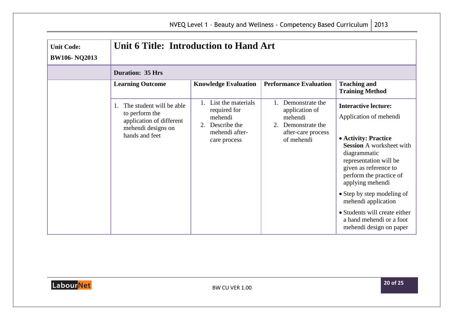| <b>Unit Code:</b><br><b>BW106-NQ2013</b> | Unit 6 Title: Introduction to Hand Art                                                                         |                                                                                                       |                                                                                                                    |                                                                                                                                                                                                                                                                                                                                                                                 |
|------------------------------------------|----------------------------------------------------------------------------------------------------------------|-------------------------------------------------------------------------------------------------------|--------------------------------------------------------------------------------------------------------------------|---------------------------------------------------------------------------------------------------------------------------------------------------------------------------------------------------------------------------------------------------------------------------------------------------------------------------------------------------------------------------------|
|                                          | <b>Duration: 35 Hrs</b>                                                                                        |                                                                                                       |                                                                                                                    |                                                                                                                                                                                                                                                                                                                                                                                 |
|                                          | <b>Learning Outcome</b>                                                                                        | <b>Knowledge Evaluation</b>                                                                           | <b>Performance Evaluation</b>                                                                                      | <b>Teaching and</b><br><b>Training Method</b>                                                                                                                                                                                                                                                                                                                                   |
|                                          | The student will be able<br>to perform the<br>application of different<br>mehendi designs on<br>hands and feet | List the materials<br>required for<br>mehendi<br>Describe the<br>2.<br>mehendi after-<br>care process | Demonstrate the<br>application of<br>mehendi<br>Demonstrate the<br>$2_{\cdot}$<br>after-care process<br>of mehendi | <b>Interactive lecture:</b><br>Application of mehendi<br>• Activity: Practice<br><b>Session A worksheet with</b><br>diagrammatic<br>representation will be<br>given as reference to<br>perform the practice of<br>applying mehendi<br>• Step by step modeling of<br>mehendi application<br>• Students will create either<br>a hand mehendi or a foot<br>mehendi design on paper |

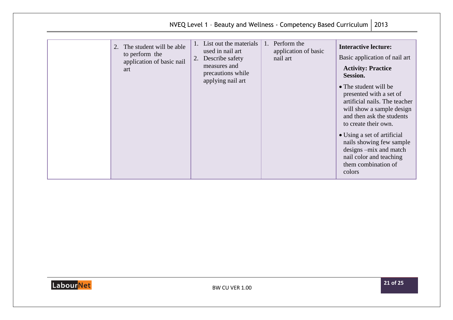|                                                                                      |                                                                                                                               | NVEQ Level 1 - Beauty and Wellness - Competency Based Curriculum   2013 |                                                                                                                                                                                                                                                                                                                                                                                                                                      |
|--------------------------------------------------------------------------------------|-------------------------------------------------------------------------------------------------------------------------------|-------------------------------------------------------------------------|--------------------------------------------------------------------------------------------------------------------------------------------------------------------------------------------------------------------------------------------------------------------------------------------------------------------------------------------------------------------------------------------------------------------------------------|
| The student will be able<br>2.<br>to perform the<br>application of basic nail<br>art | List out the materials<br>used in nail art<br>Describe safety<br>2.<br>measures and<br>precautions while<br>applying nail art | Perform the<br>$\mathbf{1}$ .<br>application of basic<br>nail art       | <b>Interactive lecture:</b><br>Basic application of nail art<br><b>Activity: Practice</b><br><b>Session.</b><br>• The student will be<br>presented with a set of<br>artificial nails. The teacher<br>will show a sample design<br>and then ask the students<br>to create their own.<br>• Using a set of artificial<br>nails showing few sample<br>designs -mix and match<br>nail color and teaching<br>them combination of<br>colors |

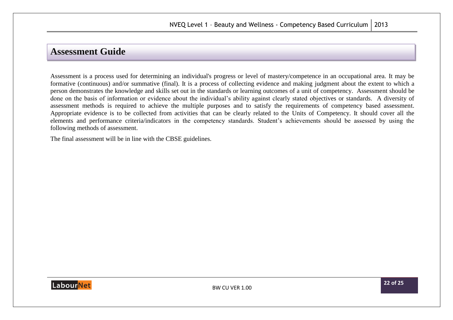### <span id="page-21-0"></span>**Assessment Guide**

Assessment is a process used for determining an individual's progress or level of mastery/competence in an occupational area. It may be formative (continuous) and/or summative (final). It is a process of collecting evidence and making judgment about the extent to which a person demonstrates the knowledge and skills set out in the standards or learning outcomes of a unit of competency. Assessment should be done on the basis of information or evidence about the individual's ability against clearly stated objectives or standards. A diversity of assessment methods is required to achieve the multiple purposes and to satisfy the requirements of competency based assessment. Appropriate evidence is to be collected from activities that can be clearly related to the Units of Competency. It should cover all the elements and performance criteria/indicators in the competency standards. Student's achievements should be assessed by using the following methods of assessment.

The final assessment will be in line with the CBSE guidelines.

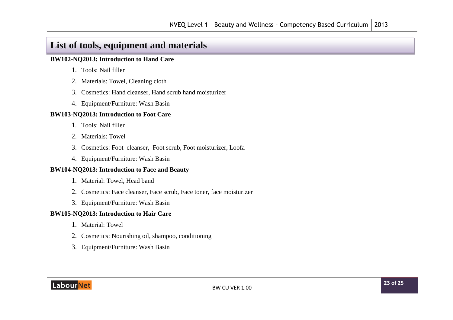## <span id="page-22-0"></span>**List of tools, equipment and materials**

#### **BW102-NQ2013: Introduction to Hand Care**

- 1. Tools: Nail filler
- 2. Materials: Towel, Cleaning cloth
- 3. Cosmetics: Hand cleanser, Hand scrub hand moisturizer
- 4. Equipment/Furniture: Wash Basin

#### **BW103-NQ2013: Introduction to Foot Care**

- 1. Tools: Nail filler
- 2. Materials: Towel
- 3. Cosmetics: Foot cleanser, Foot scrub, Foot moisturizer, Loofa
- 4. Equipment/Furniture: Wash Basin

#### **BW104-NQ2013: Introduction to Face and Beauty**

- 1. Material: Towel, Head band
- 2. Cosmetics: Face cleanser, Face scrub, Face toner, face moisturizer
- 3. Equipment/Furniture: Wash Basin

#### **BW105-NQ2013: Introduction to Hair Care**

- 1. Material: Towel
- 2. Cosmetics: Nourishing oil, shampoo, conditioning
- 3. Equipment/Furniture: Wash Basin

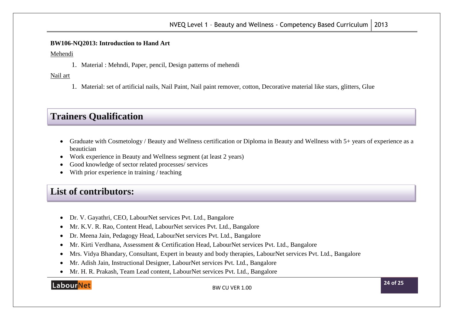#### **BW106-NQ2013: Introduction to Hand Art**

Mehendi

1. Material : Mehndi, Paper, pencil, Design patterns of mehendi

Nail art

1. Material: set of artificial nails, Nail Paint, Nail paint remover, cotton, Decorative material like stars, glitters, Glue

## **Trainers Qualification**

- Graduate with Cosmetology / Beauty and Wellness certification or Diploma in Beauty and Wellness with 5+ years of experience as a beautician
- Work experience in Beauty and Wellness segment (at least 2 years)
- Good knowledge of sector related processes/ services
- With prior experience in training / teaching

## <span id="page-23-0"></span>**List of contributors:**

- Dr. V. Gayathri, CEO, LabourNet services Pvt. Ltd., Bangalore
- Mr. K.V. R. Rao, Content Head, LabourNet services Pvt. Ltd., Bangalore
- Dr. Meena Jain, Pedagogy Head, LabourNet services Pvt. Ltd., Bangalore
- Mr. Kirti Verdhana, Assessment & Certification Head, LabourNet services Pvt. Ltd., Bangalore
- Mrs. Vidya Bhandary, Consultant, Expert in beauty and body therapies, LabourNet services Pvt. Ltd., Bangalore
- Mr. Adish Jain, Instructional Designer, LabourNet services Pvt. Ltd., Bangalore
- Mr. H. R. Prakash, Team Lead content, LabourNet services Pvt. Ltd., Bangalore

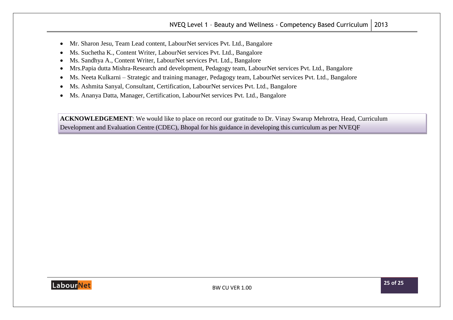- Mr. Sharon Jesu, Team Lead content, LabourNet services Pvt. Ltd., Bangalore
- Ms. Suchetha K., Content Writer, LabourNet services Pvt. Ltd., Bangalore
- Ms. Sandhya A., Content Writer, LabourNet services Pvt. Ltd., Bangalore
- Mrs.Papia dutta Mishra-Research and development, Pedagogy team, LabourNet services Pvt. Ltd., Bangalore
- Ms. Neeta Kulkarni Strategic and training manager, Pedagogy team, LabourNet services Pvt. Ltd., Bangalore
- Ms. Ashmita Sanyal, Consultant, Certification, LabourNet services Pvt. Ltd., Bangalore
- Ms. Ananya Datta, Manager, Certification, LabourNet services Pvt. Ltd., Bangalore

**ACKNOWLEDGEMENT**: We would like to place on record our gratitude to Dr. Vinay Swarup Mehrotra, Head, Curriculum Development and Evaluation Centre (CDEC), Bhopal for his guidance in developing this curriculum as per NVEQF

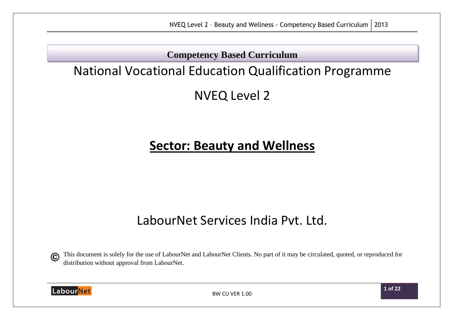**Competency Based Curriculum**

# National Vocational Education Qualification Programme

NVEQ Level 2

# **Sector: Beauty and Wellness**

# LabourNet Services India Pvt. Ltd.

This document is solely for the use of LabourNet and LabourNet Clients. No part of it may be circulated, quoted, or reproduced for  $\odot$ distribution without approval from LabourNet.



BW CU VER 1.00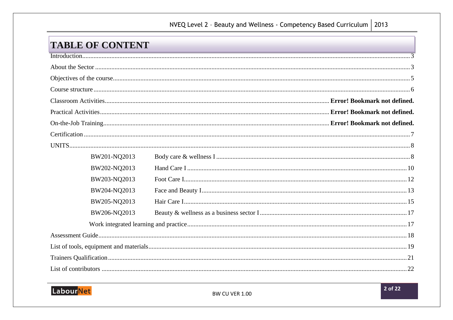## NVEQ Level 2 - Beauty and Wellness - Competency Based Curriculum | 2013

## **TABLE OF CONTENT**

| BW201-NQ2013 |  |  |  |  |  |
|--------------|--|--|--|--|--|
| BW202-NQ2013 |  |  |  |  |  |
| BW203-NQ2013 |  |  |  |  |  |
| BW204-NQ2013 |  |  |  |  |  |
| BW205-NQ2013 |  |  |  |  |  |
| BW206-NQ2013 |  |  |  |  |  |
|              |  |  |  |  |  |
|              |  |  |  |  |  |
|              |  |  |  |  |  |
|              |  |  |  |  |  |
|              |  |  |  |  |  |
|              |  |  |  |  |  |

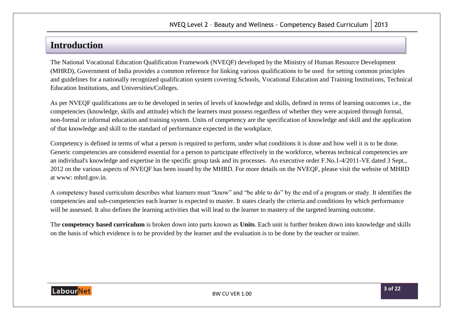## <span id="page-27-0"></span>**Introduction**

<span id="page-27-1"></span>The National Vocational Education Qualification Framework (NVEQF) developed by the Ministry of Human Resource Development (MHRD), Government of India provides a common reference for linking various qualifications to be used for setting common principles and guidelines for a nationally recognized qualification system covering Schools, Vocational Education and Training Institutions, Technical Education Institutions, and Universities/Colleges.

As per NVEQF qualifications are to be developed in series of levels of knowledge and skills, defined in terms of learning outcomes i.e., the competencies (knowledge, skills and attitude) which the learners must possess regardless of whether they were acquired through formal, non-formal or informal education and training system. Units of competency are the specification of knowledge and skill and the application of that knowledge and skill to the standard of performance expected in the workplace.

Competency is defined in terms of what a person is required to perform, under what conditions it is done and how well it is to be done. Generic competencies are considered essential for a person to participate effectively in the workforce, whereas technical competencies are an individual's knowledge and expertise in the specific group task and its processes. An executive order F.No.1-4/2011-VE dated 3 Sept., 2012 on the various aspects of NVEQF has been issued by the MHRD. For more details on the NVEQF, please visit the website of MHRD at www: mhrd.gov.in.

A competency based curriculum describes what learners must "know" and "be able to do" by the end of a program or study. It identifies the competencies and sub-competencies each learner is expected to master. It states clearly the criteria and conditions by which performance will be assessed. It also defines the learning activities that will lead to the learner to mastery of the targeted learning outcome.

The **competency based curriculum** is broken down into parts known as **Units**. Each unit is further broken down into knowledge and skills on the basis of which evidence is to be provided by the learner and the evaluation is to be done by the teacher or trainer.

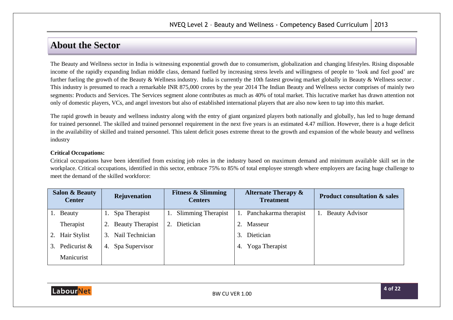## **About the Sector**

The Beauty and Wellness sector in India is witnessing exponential growth due to consumerism, globalization and changing lifestyles. Rising disposable income of the rapidly expanding Indian middle class, demand fuelled by increasing stress levels and willingness of people to 'look and feel good' are further fueling the growth of the Beauty & Wellness industry. India is currently the 10th fastest growing market globally in Beauty & Wellness sector. This industry is presumed to reach a remarkable INR 875,000 crores by the year 2014 The Indian Beauty and Wellness sector comprises of mainly two segments: Products and Services. The Services segment alone contributes as much as 40% of total market. This lucrative market has drawn attention not only of domestic players, VCs, and angel investors but also of established international players that are also now keen to tap into this market.

The rapid growth in beauty and wellness industry along with the entry of giant organized players both nationally and globally, has led to huge demand for trained personnel. The skilled and trained personnel requirement in the next five years is an estimated 4.47 million. However, there is a huge deficit in the availability of skilled and trained personnel. This talent deficit poses extreme threat to the growth and expansion of the whole beauty and wellness industry

#### **Critical Occupations:**

Critical occupations have been identified from existing job roles in the industry based on maximum demand and minimum available skill set in the workplace. Critical occupations, identified in this sector, embrace 75% to 85% of total employee strength where employers are facing huge challenge to meet the demand of the skilled workforce:

|    | <b>Salon &amp; Beauty</b><br><b>Center</b> |    | Rejuvenation        |    | <b>Fitness &amp; Slimming</b><br><b>Centers</b> |    | <b>Alternate Therapy &amp;</b><br><b>Treatment</b> | <b>Product consultation &amp; sales</b> |
|----|--------------------------------------------|----|---------------------|----|-------------------------------------------------|----|----------------------------------------------------|-----------------------------------------|
|    | Beauty                                     |    | Spa Therapist       |    | <b>Slimming Therapist</b>                       |    | Panchakarma therapist                              | <b>Beauty Advisor</b>                   |
|    | Therapist                                  |    | 2. Beauty Therapist | 2. | Dietician                                       |    | Masseur                                            |                                         |
|    | 2. Hair Stylist                            | 3. | Nail Technician     |    |                                                 | 3. | Dietician                                          |                                         |
| 3. | Pedicurist &                               | 4. | Spa Supervisor      |    |                                                 | 4. | Yoga Therapist                                     |                                         |
|    | Manicurist                                 |    |                     |    |                                                 |    |                                                    |                                         |

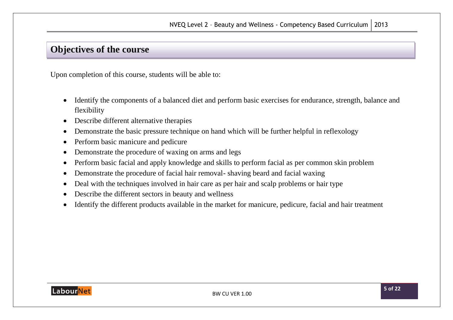## <span id="page-29-0"></span>**Objectives of the course**

Upon completion of this course, students will be able to:

- Identify the components of a balanced diet and perform basic exercises for endurance, strength, balance and flexibility
- Describe different alternative therapies
- Demonstrate the basic pressure technique on hand which will be further helpful in reflexology
- Perform basic manicure and pedicure
- Demonstrate the procedure of waxing on arms and legs
- Perform basic facial and apply knowledge and skills to perform facial as per common skin problem
- Demonstrate the procedure of facial hair removal-shaving beard and facial waxing
- Deal with the techniques involved in hair care as per hair and scalp problems or hair type
- Describe the different sectors in beauty and wellness
- Identify the different products available in the market for manicure, pedicure, facial and hair treatment

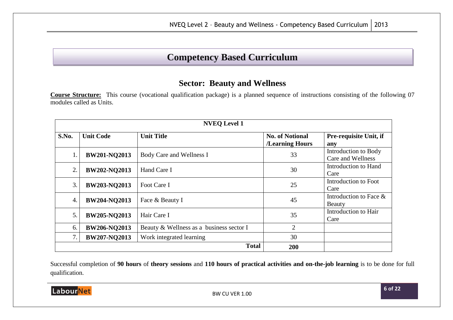## **Competency Based Curriculum**

### **Sector: Beauty and Wellness**

<span id="page-30-0"></span>**Course Structure:** This course (vocational qualification package) is a planned sequence of instructions consisting of the following 07 modules called as Units.

| <b>NVEQ Level 1</b> |                     |                                          |                                           |                                           |  |  |  |
|---------------------|---------------------|------------------------------------------|-------------------------------------------|-------------------------------------------|--|--|--|
| S.No.               | <b>Unit Code</b>    | <b>Unit Title</b>                        | <b>No. of Notional</b><br>/Learning Hours | Pre-requisite Unit, if<br>any             |  |  |  |
| 1.                  | <b>BW201-NO2013</b> | Body Care and Wellness I                 | 33                                        | Introduction to Body<br>Care and Wellness |  |  |  |
| 2.                  | <b>BW202-NQ2013</b> | Hand Care I                              | 30                                        | Introduction to Hand<br>Care              |  |  |  |
| 3.                  | <b>BW203-NQ2013</b> | Foot Care I                              | 25                                        | Introduction to Foot<br>Care              |  |  |  |
| $\overline{4}$ .    | <b>BW204-NQ2013</b> | Face & Beauty I                          | 45                                        | Introduction to Face $\&$<br>Beauty       |  |  |  |
| 5.                  | BW205-NQ2013        | Hair Care I                              | 35                                        | Introduction to Hair<br>Care              |  |  |  |
| 6.                  | <b>BW206-NQ2013</b> | Beauty & Wellness as a business sector I | $\overline{2}$                            |                                           |  |  |  |
| 7.                  | <b>BW207-NQ2013</b> | Work integrated learning                 | 30                                        |                                           |  |  |  |
|                     | <b>Total</b><br>200 |                                          |                                           |                                           |  |  |  |

Successful completion of **90 hours** of **theory sessions** and **110 hours of practical activities and on-the-job learning** is to be done for full qualification.

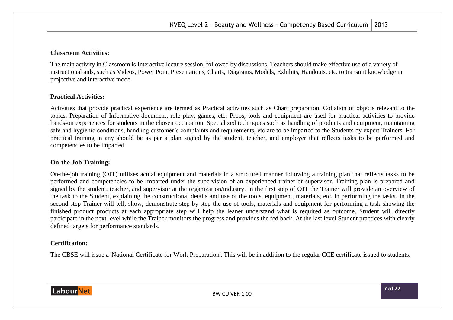#### **Classroom Activities:**

The main activity in Classroom is Interactive lecture session, followed by discussions. Teachers should make effective use of a variety of instructional aids, such as Videos, Power Point Presentations, Charts, Diagrams, Models, Exhibits, Handouts, etc. to transmit knowledge in projective and interactive mode.

#### **Practical Activities:**

Activities that provide practical experience are termed as Practical activities such as Chart preparation, Collation of objects relevant to the topics, Preparation of Informative document, role play, games, etc; Props, tools and equipment are used for practical activities to provide hands-on experiences for students in the chosen occupation. Specialized techniques such as handling of products and equipment, maintaining safe and hygienic conditions, handling customer's complaints and requirements, etc are to be imparted to the Students by expert Trainers. For practical training in any should be as per a plan signed by the student, teacher, and employer that reflects tasks to be performed and competencies to be imparted.

#### **On-the-Job Training:**

On-the-job training (OJT) utilizes actual equipment and materials in a structured manner following a training plan that reflects tasks to be performed and competencies to be imparted under the supervision of an experienced trainer or supervisor. Training plan is prepared and signed by the student, teacher, and supervisor at the organization/industry. In the first step of OJT the Trainer will provide an overview of the task to the Student, explaining the constructional details and use of the tools, equipment, materials, etc. in performing the tasks. In the second step Trainer will tell, show, demonstrate step by step the use of tools, materials and equipment for performing a task showing the finished product products at each appropriate step will help the leaner understand what is required as outcome. Student will directly participate in the next level while the Trainer monitors the progress and provides the fed back. At the last level Student practices with clearly defined targets for performance standards.

#### <span id="page-31-0"></span>**Certification:**

The CBSE will issue a 'National Certificate for Work Preparation'. This will be in addition to the regular CCE certificate issued to students.

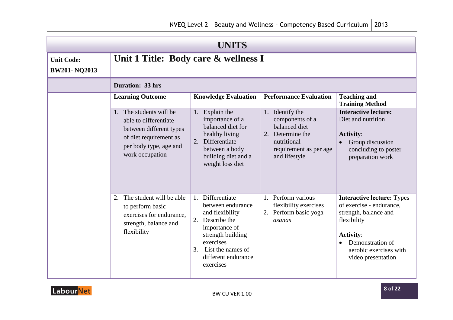<span id="page-32-1"></span><span id="page-32-0"></span>

|                                          | <b>UNITS</b>                                                                                                            |                                                                                                                                                                                                  |                                                                                                                                   |                                                                                                                                                                                               |  |
|------------------------------------------|-------------------------------------------------------------------------------------------------------------------------|--------------------------------------------------------------------------------------------------------------------------------------------------------------------------------------------------|-----------------------------------------------------------------------------------------------------------------------------------|-----------------------------------------------------------------------------------------------------------------------------------------------------------------------------------------------|--|
| <b>Unit Code:</b><br><b>BW201-NQ2013</b> | Unit 1 Title: Body care & wellness I                                                                                    |                                                                                                                                                                                                  |                                                                                                                                   |                                                                                                                                                                                               |  |
|                                          | <b>Duration: 33 hrs</b>                                                                                                 |                                                                                                                                                                                                  |                                                                                                                                   |                                                                                                                                                                                               |  |
|                                          | <b>Learning Outcome</b><br>1. The students will be                                                                      | <b>Knowledge Evaluation</b>                                                                                                                                                                      | <b>Performance Evaluation</b>                                                                                                     | <b>Teaching and</b><br><b>Training Method</b><br><b>Interactive lecture:</b>                                                                                                                  |  |
|                                          | able to differentiate<br>between different types<br>of diet requirement as<br>per body type, age and<br>work occupation | 1. Explain the<br>importance of a<br>balanced diet for<br>healthy living<br>2.<br>Differentiate<br>between a body<br>building diet and a<br>weight loss diet                                     | 1. Identify the<br>components of a<br>balanced diet<br>2. Determine the<br>nutritional<br>requirement as per age<br>and lifestyle | Diet and nutrition<br><b>Activity:</b><br>Group discussion<br>concluding to poster<br>preparation work                                                                                        |  |
|                                          | The student will be able<br>2.<br>to perform basic<br>exercises for endurance,<br>strength, balance and<br>flexibility  | 1. Differentiate<br>between endurance<br>and flexibility<br>Describe the<br>2.<br>importance of<br>strength building<br>exercises<br>List the names of<br>3.<br>different endurance<br>exercises | Perform various<br>1.<br>flexibility exercises<br>2. Perform basic yoga<br>asanas                                                 | <b>Interactive lecture: Types</b><br>of exercise - endurance,<br>strength, balance and<br>flexibility<br><b>Activity:</b><br>Demonstration of<br>aerobic exercises with<br>video presentation |  |

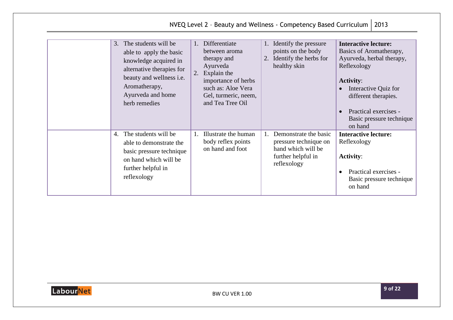|                                                                                                                                                                                                       |                                                                                                                                                                                         | NVEQ Level 2 - Beauty and Wellness - Competency Based Curriculum                                          | 2013                                                                                                                                                                                                                                                             |
|-------------------------------------------------------------------------------------------------------------------------------------------------------------------------------------------------------|-----------------------------------------------------------------------------------------------------------------------------------------------------------------------------------------|-----------------------------------------------------------------------------------------------------------|------------------------------------------------------------------------------------------------------------------------------------------------------------------------------------------------------------------------------------------------------------------|
| The students will be<br>3.<br>able to apply the basic<br>knowledge acquired in<br>alternative therapies for<br>beauty and wellness <i>i.e.</i><br>Aromatherapy,<br>Ayurveda and home<br>herb remedies | Differentiate<br>$1_{\cdots}$<br>between aroma<br>therapy and<br>Ayurveda<br>Explain the<br>2.<br>importance of herbs<br>such as: Aloe Vera<br>Gel, turmeric, neem,<br>and Tea Tree Oil | 1. Identify the pressure<br>points on the body<br>Identify the herbs for<br>2.<br>healthy skin            | <b>Interactive lecture:</b><br>Basics of Aromatherapy,<br>Ayurveda, herbal therapy,<br>Reflexology<br><b>Activity:</b><br>Interactive Quiz for<br>$\bullet$<br>different therapies.<br>Practical exercises -<br>$\bullet$<br>Basic pressure technique<br>on hand |
| The students will be<br>4.<br>able to demonstrate the<br>basic pressure technique<br>on hand which will be<br>further helpful in<br>reflexology                                                       | Illustrate the human<br>body reflex points<br>on hand and foot                                                                                                                          | Demonstrate the basic<br>pressure technique on<br>hand which will be<br>further helpful in<br>reflexology | <b>Interactive lecture:</b><br>Reflexology<br><b>Activity:</b><br>Practical exercises -<br>$\bullet$<br>Basic pressure technique<br>on hand                                                                                                                      |

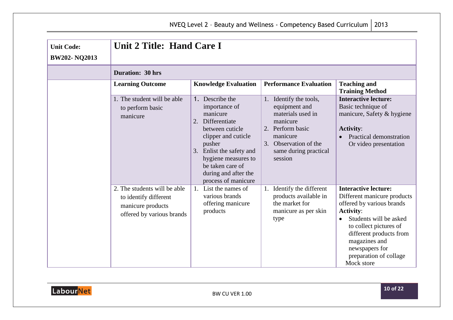<span id="page-34-0"></span>

| <b>Unit Code:</b><br><b>BW202-NQ2013</b> | Unit 2 Title: Hand Care I                                                                               |                                                                                                                                                                                                                                               |                                                                                                                                                                       |                                                                                                                                                                                                                                                                       |
|------------------------------------------|---------------------------------------------------------------------------------------------------------|-----------------------------------------------------------------------------------------------------------------------------------------------------------------------------------------------------------------------------------------------|-----------------------------------------------------------------------------------------------------------------------------------------------------------------------|-----------------------------------------------------------------------------------------------------------------------------------------------------------------------------------------------------------------------------------------------------------------------|
|                                          | <b>Duration: 30 hrs</b>                                                                                 |                                                                                                                                                                                                                                               |                                                                                                                                                                       |                                                                                                                                                                                                                                                                       |
|                                          | <b>Learning Outcome</b>                                                                                 | <b>Knowledge Evaluation</b>                                                                                                                                                                                                                   | <b>Performance Evaluation</b>                                                                                                                                         | <b>Teaching and</b><br><b>Training Method</b>                                                                                                                                                                                                                         |
|                                          | 1. The student will be able<br>to perform basic<br>manicure                                             | 1. Describe the<br>importance of<br>manicure<br>Differentiate<br>2.<br>between cuticle<br>clipper and cuticle<br>pusher<br>3. Enlist the safety and<br>hygiene measures to<br>be taken care of<br>during and after the<br>process of manicure | 1. Identify the tools,<br>equipment and<br>materials used in<br>manicure<br>2. Perform basic<br>manicure<br>3. Observation of the<br>same during practical<br>session | <b>Interactive lecture:</b><br>Basic technique of<br>manicure, Safety & hygiene<br><b>Activity:</b><br>Practical demonstration<br>Or video presentation                                                                                                               |
|                                          | 2. The students will be able<br>to identify different<br>manicure products<br>offered by various brands | 1. List the names of<br>various brands<br>offering manicure<br>products                                                                                                                                                                       | 1. Identify the different<br>products available in<br>the market for<br>manicure as per skin<br>type                                                                  | <b>Interactive lecture:</b><br>Different manicure products<br>offered by various brands<br><b>Activity:</b><br>Students will be asked<br>to collect pictures of<br>different products from<br>magazines and<br>newspapers for<br>preparation of collage<br>Mock store |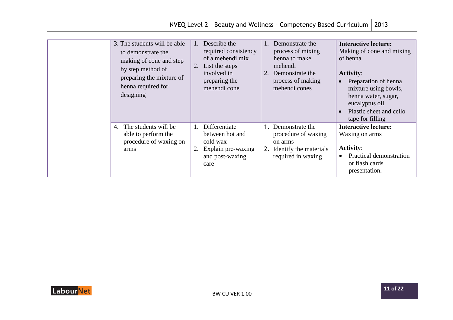|                                                                                                                                                                   |                                                                                                                                              | NVEQ Level 2 - Beauty and Wellness - Competency Based Curriculum                                                             | 2013                                                                                                                                                                                                                                           |
|-------------------------------------------------------------------------------------------------------------------------------------------------------------------|----------------------------------------------------------------------------------------------------------------------------------------------|------------------------------------------------------------------------------------------------------------------------------|------------------------------------------------------------------------------------------------------------------------------------------------------------------------------------------------------------------------------------------------|
| 3. The students will be able<br>to demonstrate the<br>making of cone and step<br>by step method of<br>preparing the mixture of<br>henna required for<br>designing | Describe the<br>$\mathbf{1}$ .<br>required consistency<br>of a mehendi mix<br>List the steps<br>involved in<br>preparing the<br>mehendi cone | Demonstrate the<br>process of mixing<br>henna to make<br>mehendi<br>2. Demonstrate the<br>process of making<br>mehendi cones | <b>Interactive lecture:</b><br>Making of cone and mixing<br>of henna<br><b>Activity:</b><br>Preparation of henna<br>mixture using bowls,<br>henna water, sugar,<br>eucalyptus oil.<br>Plastic sheet and cello<br>$\bullet$<br>tape for filling |
| The students will be<br>4.<br>able to perform the<br>procedure of waxing on<br>arms                                                                               | Differentiate<br>$\mathbf{1}$ .<br>between hot and<br>cold wax<br>Explain pre-waxing<br>and post-waxing<br>care                              | Demonstrate the<br>procedure of waxing<br>on arms<br>2. Identify the materials<br>required in waxing                         | <b>Interactive lecture:</b><br>Waxing on arms<br><b>Activity:</b><br>Practical demonstration<br>$\bullet$<br>or flash cards<br>presentation.                                                                                                   |

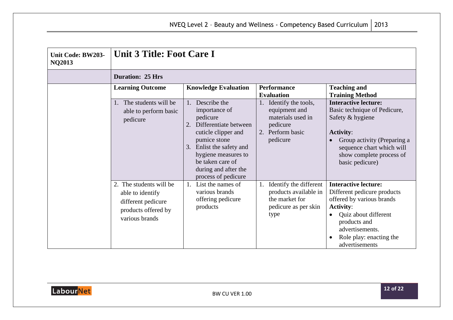<span id="page-36-0"></span>

| Unit Code: BW203-<br><b>NQ2013</b> | <b>Unit 3 Title: Foot Care I</b>                                                                           |                                                                                                                                                                                                                                       |                                                                                                       |                                                                                                                                                                                                                     |
|------------------------------------|------------------------------------------------------------------------------------------------------------|---------------------------------------------------------------------------------------------------------------------------------------------------------------------------------------------------------------------------------------|-------------------------------------------------------------------------------------------------------|---------------------------------------------------------------------------------------------------------------------------------------------------------------------------------------------------------------------|
|                                    | <b>Duration: 25 Hrs</b>                                                                                    |                                                                                                                                                                                                                                       |                                                                                                       |                                                                                                                                                                                                                     |
|                                    | <b>Learning Outcome</b>                                                                                    | <b>Knowledge Evaluation</b>                                                                                                                                                                                                           | <b>Performance</b><br><b>Evaluation</b>                                                               | <b>Teaching and</b><br><b>Training Method</b>                                                                                                                                                                       |
|                                    | 1. The students will be<br>able to perform basic<br>pedicure                                               | 1. Describe the<br>importance of<br>pedicure<br>Differentiate between<br>cuticle clipper and<br>pumice stone<br>Enlist the safety and<br>3.<br>hygiene measures to<br>be taken care of<br>during and after the<br>process of pedicure | Identify the tools,<br>equipment and<br>materials used in<br>pedicure<br>2. Perform basic<br>pedicure | <b>Interactive lecture:</b><br>Basic technique of Pedicure,<br>Safety & hygiene<br><b>Activity:</b><br>Group activity (Preparing a<br>sequence chart which will<br>show complete process of<br>basic pedicure)      |
|                                    | 2. The students will be<br>able to identify<br>different pedicure<br>products offered by<br>various brands | 1. List the names of<br>various brands<br>offering pedicure<br>products                                                                                                                                                               | Identify the different<br>products available in<br>the market for<br>pedicure as per skin<br>type     | <b>Interactive lecture:</b><br>Different pedicure products<br>offered by various brands<br><b>Activity:</b><br>Quiz about different<br>products and<br>advertisements.<br>Role play: enacting the<br>advertisements |

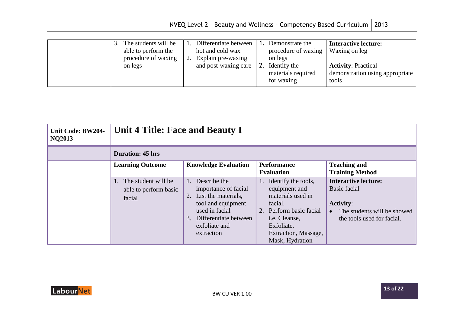|                                                                                     | NVEQ Level 2 - Beauty and Wellness - Competency Based Curriculum $\vert$ 2013                                                                                                                             |                                                                                                                        |
|-------------------------------------------------------------------------------------|-----------------------------------------------------------------------------------------------------------------------------------------------------------------------------------------------------------|------------------------------------------------------------------------------------------------------------------------|
| The students will be<br>3.<br>able to perform the<br>procedure of waxing<br>on legs | Differentiate between<br>Demonstrate the<br>hot and cold wax<br>procedure of waxing<br>Explain pre-waxing<br>on legs<br>2.<br>2. Identify the<br>and post-waxing care<br>materials required<br>for waxing | <b>Interactive lecture:</b><br>Waxing on leg<br><b>Activity: Practical</b><br>demonstration using appropriate<br>tools |

<span id="page-37-0"></span>

| Unit Code: BW204-<br><b>NQ2013</b> | Unit 4 Title: Face and Beauty I                           |                                                                                                                                                                   |                                                                                                                                                                                 |                                                                                                                                                  |
|------------------------------------|-----------------------------------------------------------|-------------------------------------------------------------------------------------------------------------------------------------------------------------------|---------------------------------------------------------------------------------------------------------------------------------------------------------------------------------|--------------------------------------------------------------------------------------------------------------------------------------------------|
|                                    | <b>Duration: 45 hrs</b>                                   |                                                                                                                                                                   |                                                                                                                                                                                 |                                                                                                                                                  |
|                                    | <b>Learning Outcome</b>                                   | <b>Knowledge Evaluation</b>                                                                                                                                       | <b>Performance</b><br><b>Evaluation</b>                                                                                                                                         | <b>Teaching and</b><br><b>Training Method</b>                                                                                                    |
|                                    | 1. The student will be<br>able to perform basic<br>facial | Describe the<br>importance of facial<br>List the materials,<br>tool and equipment<br>used in facial<br>Differentiate between<br>3.<br>exfoliate and<br>extraction | Identify the tools,<br>1.<br>equipment and<br>materials used in<br>facial.<br>2. Perform basic facial<br>i.e. Cleanse,<br>Exfoliate,<br>Extraction, Massage,<br>Mask, Hydration | <b>Interactive lecture:</b><br><b>Basic facial</b><br><b>Activity:</b><br>The students will be showed<br>$\bullet$<br>the tools used for facial. |

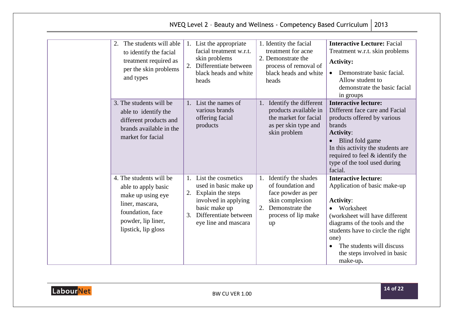|                                                                                                                                                         |                |                                                                                                                                                            | NVEQ Level 2 - Beauty and Wellness - Competency Based Curriculum   2013                                                                    |                                                                                                                                                                                                                                                                                                     |
|---------------------------------------------------------------------------------------------------------------------------------------------------------|----------------|------------------------------------------------------------------------------------------------------------------------------------------------------------|--------------------------------------------------------------------------------------------------------------------------------------------|-----------------------------------------------------------------------------------------------------------------------------------------------------------------------------------------------------------------------------------------------------------------------------------------------------|
| The students will able<br>2.<br>to identify the facial<br>treatment required as<br>per the skin problems<br>and types                                   | 2.             | 1. List the appropriate<br>facial treatment w.r.t.<br>skin problems<br>Differentiate between<br>black heads and white<br>heads                             | 1. Identity the facial<br>treatment for acne<br>2. Demonstrate the<br>process of removal of<br>black heads and white<br>heads              | <b>Interactive Lecture: Facial</b><br>Treatment w.r.t. skin problems<br><b>Activity:</b><br>Demonstrate basic facial.<br>$\bullet$<br>Allow student to<br>demonstrate the basic facial<br>in groups                                                                                                 |
| 3. The students will be<br>able to identify the<br>different products and<br>brands available in the<br>market for facial                               |                | 1. List the names of<br>various brands<br>offering facial<br>products                                                                                      | Identify the different<br>products available in<br>the market for facial<br>as per skin type and<br>skin problem                           | <b>Interactive lecture:</b><br>Different face care and Facial<br>products offered by various<br>brands<br><b>Activity:</b><br>• Blind fold game<br>In this activity the students are<br>required to feel & identify the<br>type of the tool used during<br>facial.                                  |
| 4. The students will be<br>able to apply basic<br>make up using eye<br>liner, mascara,<br>foundation, face<br>powder, lip liner,<br>lipstick, lip gloss | 1.<br>2.<br>3. | List the cosmetics<br>used in basic make up<br>Explain the steps<br>involved in applying<br>basic make up<br>Differentiate between<br>eye line and mascara | 1. Identify the shades<br>of foundation and<br>face powder as per<br>skin complexion<br>Demonstrate the<br>2.<br>process of lip make<br>up | <b>Interactive lecture:</b><br>Application of basic make-up<br><b>Activity:</b><br>• Worksheet<br>(worksheet will have different<br>diagrams of the tools and the<br>students have to circle the right<br>one)<br>The students will discuss<br>$\bullet$<br>the steps involved in basic<br>make-up. |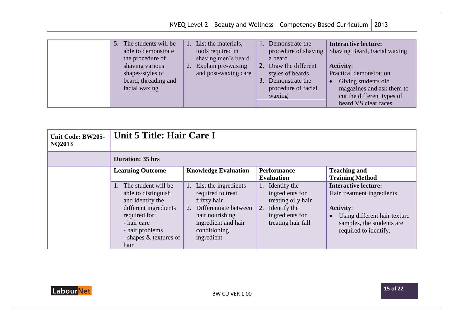|                                                                                                                                                       | NVEQ Level 2 - Beauty and Wellness - Competency Based Curriculum   2013                                                |                                                                                                                                                              |                                                                                                                                                                                                                                   |
|-------------------------------------------------------------------------------------------------------------------------------------------------------|------------------------------------------------------------------------------------------------------------------------|--------------------------------------------------------------------------------------------------------------------------------------------------------------|-----------------------------------------------------------------------------------------------------------------------------------------------------------------------------------------------------------------------------------|
|                                                                                                                                                       |                                                                                                                        |                                                                                                                                                              |                                                                                                                                                                                                                                   |
| 5.<br>The students will be<br>able to demonstrate<br>the procedure of<br>shaving various<br>shapes/styles of<br>beard, threading and<br>facial waxing | 1. List the materials,<br>tools required in<br>shaving men's beard<br>Explain pre-waxing<br>2.<br>and post-waxing care | 1. Demonstrate the<br>procedure of shaving<br>a beard<br>2. Draw the different<br>styles of beards<br>Demonstrate the<br>3.<br>procedure of facial<br>waxing | <b>Interactive lecture:</b><br>Shaving Beard, Facial waxing<br><b>Activity:</b><br>Practical demonstration<br>Giving students old<br>$\bullet$<br>magazines and ask them to<br>cut the different types of<br>beard VS clear faces |

<span id="page-39-0"></span>

| Unit Code: BW205-<br><b>NQ2013</b> | Unit 5 Title: Hair Care I                                                                                                                                                       |                                                                                                                                                                 |                                                                                                                      |                                                                                                                                                                                  |
|------------------------------------|---------------------------------------------------------------------------------------------------------------------------------------------------------------------------------|-----------------------------------------------------------------------------------------------------------------------------------------------------------------|----------------------------------------------------------------------------------------------------------------------|----------------------------------------------------------------------------------------------------------------------------------------------------------------------------------|
|                                    | <b>Duration: 35 hrs</b>                                                                                                                                                         |                                                                                                                                                                 |                                                                                                                      |                                                                                                                                                                                  |
|                                    | <b>Learning Outcome</b>                                                                                                                                                         | <b>Knowledge Evaluation</b>                                                                                                                                     | <b>Performance</b><br><b>Evaluation</b>                                                                              | <b>Teaching and</b><br><b>Training Method</b>                                                                                                                                    |
|                                    | 1. The student will be<br>able to distinguish<br>and identify the<br>different ingredients<br>required for:<br>- hair care<br>- hair problems<br>- shapes & textures of<br>hair | 1. List the ingredients<br>required to treat<br>frizzy hair<br>2. Differentiate between<br>hair nourishing<br>ingredient and hair<br>conditioning<br>ingredient | 1. Identify the<br>ingredients for<br>treating oily hair<br>2. Identify the<br>ingredients for<br>treating hair fall | <b>Interactive lecture:</b><br>Hair treatment ingredients<br><b>Activity:</b><br>Using different hair texture<br>$\bullet$<br>samples, the students are<br>required to identify. |

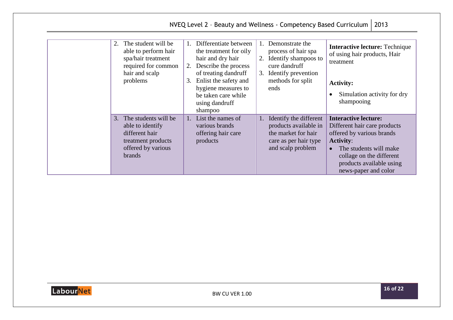| The student will be<br>able to perform hair<br>spa/hair treatment<br>required for common<br>hair and scalp<br>problems     | 1. Differentiate between<br>the treatment for oily<br>hair and dry hair<br>2. Describe the process<br>of treating dandruff<br>3. Enlist the safety and<br>hygiene measures to<br>be taken care while<br>using dandruff<br>shampoo | 1. Demonstrate the<br>process of hair spa<br>2. Identify shampoos to<br>cure dandruff<br>3. Identify prevention<br>methods for split<br>ends | <b>Interactive lecture: Technique</b><br>of using hair products, Hair<br>treatment<br><b>Activity:</b><br>Simulation activity for dry<br>$\bullet$<br>shampooing                                                                    |
|----------------------------------------------------------------------------------------------------------------------------|-----------------------------------------------------------------------------------------------------------------------------------------------------------------------------------------------------------------------------------|----------------------------------------------------------------------------------------------------------------------------------------------|-------------------------------------------------------------------------------------------------------------------------------------------------------------------------------------------------------------------------------------|
| 3. The students will be<br>able to identify<br>different hair<br>treatment products<br>offered by various<br><b>brands</b> | 1. List the names of<br>various brands<br>offering hair care<br>products                                                                                                                                                          | 1. Identify the different<br>products available in<br>the market for hair<br>care as per hair type<br>and scalp problem                      | <b>Interactive lecture:</b><br>Different hair care products<br>offered by various brands<br><b>Activity:</b><br>The students will make<br>$\bullet$<br>collage on the different<br>products available using<br>news-paper and color |

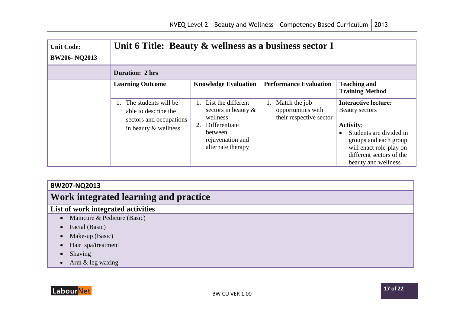<span id="page-41-0"></span>

| <b>Unit Code:</b><br><b>BW206-NQ2013</b> | Unit 6 Title: Beauty & wellness as a business sector I                                             |                                                                                                                                  |                                                                |                                                                                                                                                                                                     |
|------------------------------------------|----------------------------------------------------------------------------------------------------|----------------------------------------------------------------------------------------------------------------------------------|----------------------------------------------------------------|-----------------------------------------------------------------------------------------------------------------------------------------------------------------------------------------------------|
|                                          | <b>Duration: 2 hrs</b>                                                                             |                                                                                                                                  |                                                                |                                                                                                                                                                                                     |
|                                          | <b>Learning Outcome</b>                                                                            | <b>Knowledge Evaluation</b>                                                                                                      | <b>Performance Evaluation</b>                                  | <b>Teaching and</b><br><b>Training Method</b>                                                                                                                                                       |
|                                          | 1. The students will be<br>able to describe the<br>sectors and occupations<br>in beauty & wellness | List the different<br>sectors in beauty $\&$<br>wellness<br>2. Differentiate<br>between<br>rejuvenation and<br>alternate therapy | Match the job<br>opportunities with<br>their respective sector | <b>Interactive lecture:</b><br>Beauty sectors<br><b>Activity:</b><br>Students are divided in<br>groups and each group<br>will enact role-play on<br>different sectors of the<br>beauty and wellness |

### **BW207-NQ2013**

## <span id="page-41-1"></span>**Work integrated learning and practice**

### **List of work integrated activities**

- Manicure & Pedicure (Basic)
- Facial (Basic)
- Make-up (Basic)
- Hair spa/treatment
- Shaving
- Arm & leg waxing

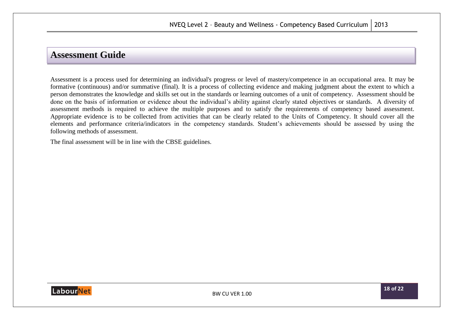### <span id="page-42-0"></span>**Assessment Guide**

Assessment is a process used for determining an individual's progress or level of mastery/competence in an occupational area. It may be formative (continuous) and/or summative (final). It is a process of collecting evidence and making judgment about the extent to which a person demonstrates the knowledge and skills set out in the standards or learning outcomes of a unit of competency. Assessment should be done on the basis of information or evidence about the individual's ability against clearly stated objectives or standards. A diversity of assessment methods is required to achieve the multiple purposes and to satisfy the requirements of competency based assessment. Appropriate evidence is to be collected from activities that can be clearly related to the Units of Competency. It should cover all the elements and performance criteria/indicators in the competency standards. Student's achievements should be assessed by using the following methods of assessment.

The final assessment will be in line with the CBSE guidelines.

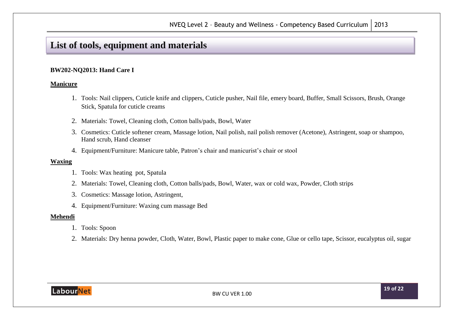## <span id="page-43-0"></span>**List of tools, equipment and materials**

#### **BW202-NQ2013: Hand Care I**

#### **Manicure**

- 1. Tools: Nail clippers, Cuticle knife and clippers, Cuticle pusher, Nail file, emery board, Buffer, Small Scissors, Brush, Orange Stick, Spatula for cuticle creams
- 2. Materials: Towel, Cleaning cloth, Cotton balls/pads, Bowl, Water
- 3. Cosmetics: Cuticle softener cream, Massage lotion, Nail polish, nail polish remover (Acetone), Astringent, soap or shampoo, Hand scrub, Hand cleanser
- 4. Equipment/Furniture: Manicure table, Patron's chair and manicurist's chair or stool

#### **Waxing**

- 1. Tools: Wax heating pot, Spatula
- 2. Materials: Towel, Cleaning cloth, Cotton balls/pads, Bowl, Water, wax or cold wax, Powder, Cloth strips
- 3. Cosmetics: Massage lotion, Astringent,
- 4. Equipment/Furniture: Waxing cum massage Bed

#### **Mehendi**

- 1. Tools: Spoon
- 2. Materials: Dry henna powder, Cloth, Water, Bowl, Plastic paper to make cone, Glue or cello tape, Scissor, eucalyptus oil, sugar

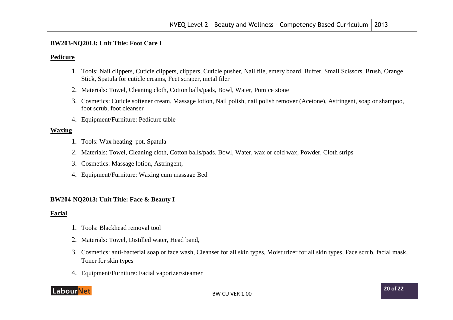#### **BW203-NQ2013: Unit Title: Foot Care I**

#### **Pedicure**

- 1. Tools: Nail clippers, Cuticle clippers, clippers, Cuticle pusher, Nail file, emery board, Buffer, Small Scissors, Brush, Orange Stick, Spatula for cuticle creams, Feet scraper, metal filer
- 2. Materials: Towel, Cleaning cloth, Cotton balls/pads, Bowl, Water, Pumice stone
- 3. Cosmetics: Cuticle softener cream, Massage lotion, Nail polish, nail polish remover (Acetone), Astringent, soap or shampoo, foot scrub, foot cleanser
- 4. Equipment/Furniture: Pedicure table

#### **Waxing**

- 1. Tools: Wax heating pot, Spatula
- 2. Materials: Towel, Cleaning cloth, Cotton balls/pads, Bowl, Water, wax or cold wax, Powder, Cloth strips
- 3. Cosmetics: Massage lotion, Astringent,
- 4. Equipment/Furniture: Waxing cum massage Bed

#### **BW204-NQ2013: Unit Title: Face & Beauty I**

#### **Facial**

- 1. Tools: Blackhead removal tool
- 2. Materials: Towel, Distilled water, Head band,
- 3. Cosmetics: anti-bacterial soap or face wash, Cleanser for all skin types, Moisturizer for all skin types, Face scrub, facial mask, Toner for skin types
- 4. Equipment/Furniture: Facial vaporizer/steamer

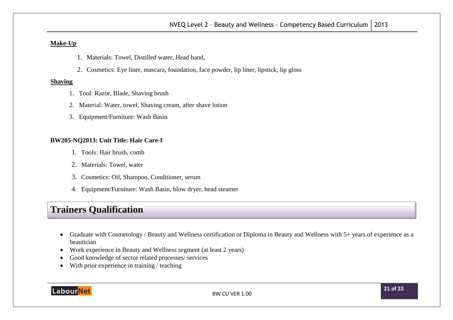#### **Make-Up**

- 1. Materials: Towel, Distilled water, Head band,
- 2. Cosmetics: Eye liner, mascara, foundation, face powder, lip liner, lipstick, lip gloss

#### **Shaving**

- 1. Tool: Razor, Blade, Shaving brush
- 2. Material: Water, towel, Shaving cream, after shave lotion
- 3. Equipment/Furniture: Wash Basin

#### **BW205-NQ2013: Unit Title: Hair Care-I**

- 1. Tools: Hair brush, comb
- 2. Materials: Towel, water
- 3. Cosmetics: Oil, Shampoo, Conditioner, serum
- 4. Equipment/Furniture: Wash Basin, blow dryer, head steamer

## <span id="page-45-0"></span>**Trainers Qualification**

- Graduate with Cosmetology / Beauty and Wellness certification or Diploma in Beauty and Wellness with 5+ years of experience as a beautician
- Work experience in Beauty and Wellness segment (at least 2 years)
- Good knowledge of sector related processes/ services
- With prior experience in training / teaching